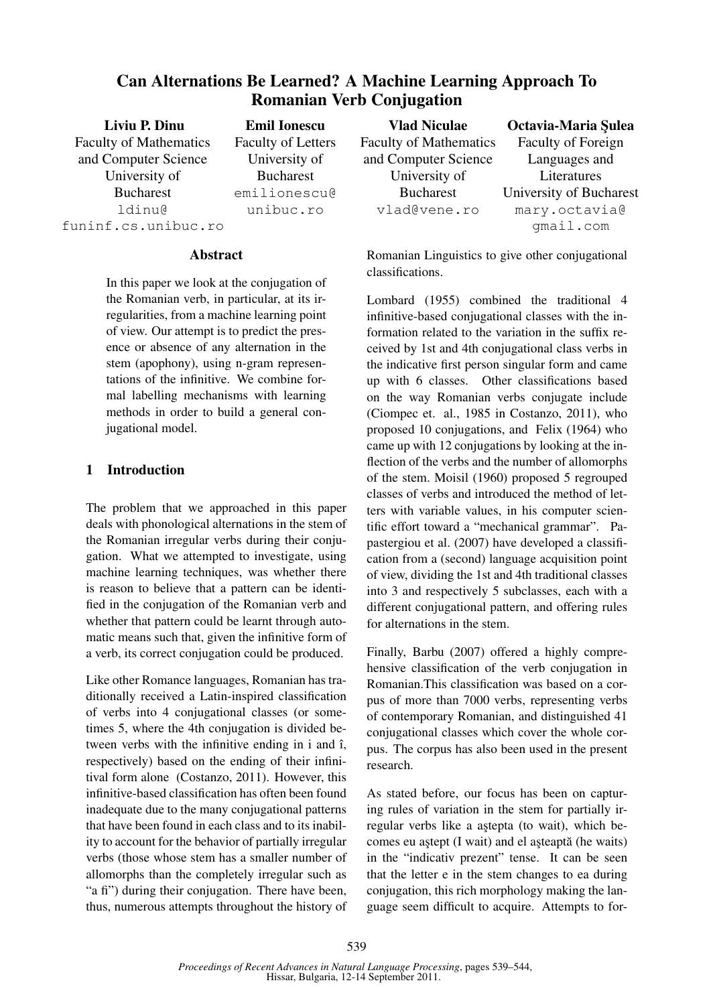# Can Alternations Be Learned? A Machine Learning Approach To Romanian Verb Conjugation

Liviu P. Dinu Faculty of Mathematics and Computer Science University of Bucharest ldinu@ funinf.cs.unibuc.ro

Emil Ionescu Faculty of Letters University of Bucharest emilionescu@ unibuc.ro

#### Abstract

In this paper we look at the conjugation of the Romanian verb, in particular, at its irregularities, from a machine learning point of view. Our attempt is to predict the presence or absence of any alternation in the stem (apophony), using n-gram representations of the infinitive. We combine formal labelling mechanisms with learning methods in order to build a general conjugational model.

### 1 Introduction

The problem that we approached in this paper deals with phonological alternations in the stem of the Romanian irregular verbs during their conjugation. What we attempted to investigate, using machine learning techniques, was whether there is reason to believe that a pattern can be identified in the conjugation of the Romanian verb and whether that pattern could be learnt through automatic means such that, given the infinitive form of a verb, its correct conjugation could be produced.

Like other Romance languages, Romanian has traditionally received a Latin-inspired classification of verbs into 4 conjugational classes (or sometimes 5, where the 4th conjugation is divided between verbs with the infinitive ending in i and  $\hat{i}$ , respectively) based on the ending of their infinitival form alone (Costanzo, 2011). However, this infinitive-based classification has often been found inadequate due to the many conjugational patterns that have been found in each class and to its inability to account for the behavior of partially irregular verbs (those whose stem has a smaller number of allomorphs than the completely irregular such as "a fi") during their conjugation. There have been, thus, numerous attempts throughout the history of

Vlad Niculae Faculty of Mathematics and Computer Science University of Bucharest vlad@vene.ro

Octavia-Maria Sulea Faculty of Foreign Languages and Literatures University of Bucharest mary.octavia@ gmail.com

Romanian Linguistics to give other conjugational classifications.

Lombard (1955) combined the traditional 4 infinitive-based conjugational classes with the information related to the variation in the suffix received by 1st and 4th conjugational class verbs in the indicative first person singular form and came up with 6 classes. Other classifications based on the way Romanian verbs conjugate include (Ciompec et. al., 1985 in Costanzo, 2011), who proposed 10 conjugations, and Felix (1964) who came up with 12 conjugations by looking at the inflection of the verbs and the number of allomorphs of the stem. Moisil (1960) proposed 5 regrouped classes of verbs and introduced the method of letters with variable values, in his computer scientific effort toward a "mechanical grammar". Papastergiou et al. (2007) have developed a classification from a (second) language acquisition point of view, dividing the 1st and 4th traditional classes into 3 and respectively 5 subclasses, each with a different conjugational pattern, and offering rules for alternations in the stem.

Finally, Barbu (2007) offered a highly comprehensive classification of the verb conjugation in Romanian.This classification was based on a corpus of more than 7000 verbs, representing verbs of contemporary Romanian, and distinguished 41 conjugational classes which cover the whole corpus. The corpus has also been used in the present research.

As stated before, our focus has been on capturing rules of variation in the stem for partially irregular verbs like a astepta (to wait), which becomes eu aștept (I wait) and el așteaptă (he waits) in the "indicativ prezent" tense. It can be seen that the letter e in the stem changes to ea during conjugation, this rich morphology making the language seem difficult to acquire. Attempts to for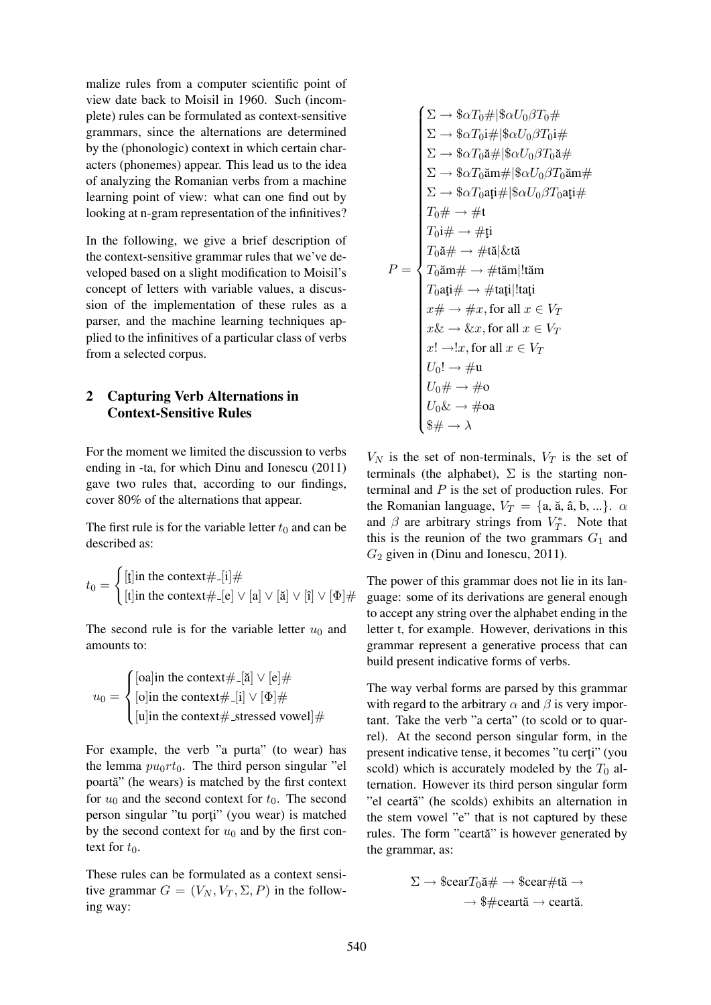malize rules from a computer scientific point of view date back to Moisil in 1960. Such (incomplete) rules can be formulated as context-sensitive grammars, since the alternations are determined by the (phonologic) context in which certain characters (phonemes) appear. This lead us to the idea of analyzing the Romanian verbs from a machine learning point of view: what can one find out by looking at n-gram representation of the infinitives?

In the following, we give a brief description of the context-sensitive grammar rules that we've developed based on a slight modification to Moisil's concept of letters with variable values, a discussion of the implementation of these rules as a parser, and the machine learning techniques applied to the infinitives of a particular class of verbs from a selected corpus.

### 2 Capturing Verb Alternations in Context-Sensitive Rules

For the moment we limited the discussion to verbs ending in -ta, for which Dinu and Ionescu (2011) gave two rules that, according to our findings, cover 80% of the alternations that appear.

The first rule is for the variable letter  $t_0$  and can be described as:

$$
t_0 = \begin{cases} [\mathfrak{k}] \text{in the context} \#_{-}[\mathfrak{i}] \# \\ [\mathfrak{t}] \text{in the context} \#_{-}[\mathbf{e}] \vee [\mathfrak{a}] \vee [\mathfrak{i}] \vee [\mathfrak{f}] \vee [\Phi] \# \end{cases}
$$

The second rule is for the variable letter  $u_0$  and amounts to:

$$
u_0 = \begin{cases} [\text{oa}] \text{in the context} \#_{-}[\check{a}] \lor [\text{e}] \# \\ [\text{o}] \text{in the context} \#_{-}[\text{i}] \lor [\Phi] \# \\ [\text{u}] \text{in the context} \#_{-} \text{stressed vowel}] \# \end{cases}
$$

For example, the verb "a purta" (to wear) has the lemma  $pu_0rt_0$ . The third person singular "el poartă" (he wears) is matched by the first context for  $u_0$  and the second context for  $t_0$ . The second person singular "tu porți" (you wear) is matched by the second context for  $u_0$  and by the first context for  $t_0$ .

These rules can be formulated as a context sensitive grammar  $G = (V_N, V_T, \Sigma, P)$  in the following way:

$$
\sum \rightarrow \$\alpha T_0 \#\$ \alpha U_0 \beta T_0 \#\
$$
\n
$$
\sum \rightarrow \$\alpha T_0 \text{i} \#\$ \alpha U_0 \beta T_0 \text{i} \#\
$$
\n
$$
\sum \rightarrow \$\alpha T_0 \text{a} \#\$ \alpha U_0 \beta T_0 \text{a} \#\
$$
\n
$$
\sum \rightarrow \$\alpha T_0 \text{a} \text{m} \#\$ \alpha U_0 \beta T_0 \text{a} \text{m} \#\
$$
\n
$$
\sum \rightarrow \$\alpha T_0 \text{a} \text{m} \#\$ \alpha U_0 \beta T_0 \text{a} \text{m} \#\
$$
\n
$$
T_0 \text{m} \leftrightarrow \# \text{t}
$$
\n
$$
T_0 \text{m} \leftrightarrow \# \text{t}
$$
\n
$$
T_0 \text{m} \leftrightarrow \# \text{t} \text{m}
$$
\n
$$
T_0 \text{a} \text{t} \leftrightarrow \# \text{t} \text{a} \#\$ \text{t} \text{a} \#\
$$
\n
$$
T_0 \text{a} \text{t} \leftrightarrow \# \text{t} \text{a} \#\$ \text{t} \text{a} \#\$ \text{t} \text{a} \#\$ \text{t} \text{a} \#\$ \text{t} \text{a} \#\$ \text{t} \text{a} \#\$ \text{t} \text{a} \#\$ \text{t} \text{a} \#\$ \text{t} \text{a} \#\$ \text{t} \text{a} \#\$ \text{t} \text{a} \#\$ \text{t} \text{a} \#\$ \text{t} \text{a} \#\$ \text{t} \text{a} \#\$ \text{t} \text{a} \#\$ \text{t} \text{a} \#\$ \text{t} \text{a} \#\$ \text{t} \text{a} \#\$ \text{t} \text{a} \#\$ \text{t} \text{a} \#\$ \text{t} \text{a} \#\$ \text{t} \text{a} \#\$ \text{t} \text{a} \#\$ \text{t} \text{a} \#\$ \text{t} \text{a} \#\$ \text{t} \text{a} \#\$ \text{t} \text{a} \#\$ \text{t} \text{a} \#\$ \text{t} \text{a} \#\$ \text
$$

 $V_N$  is the set of non-terminals,  $V_T$  is the set of terminals (the alphabet),  $\Sigma$  is the starting nonterminal and  $P$  is the set of production rules. For the Romanian language,  $V_T = \{a, \tilde{a}, \hat{a}, b, ...\}$ .  $\alpha$ and  $\beta$  are arbitrary strings from  $V_T^*$ . Note that this is the reunion of the two grammars  $G_1$  and  $G_2$  given in (Dinu and Ionescu, 2011).

The power of this grammar does not lie in its language: some of its derivations are general enough to accept any string over the alphabet ending in the letter t, for example. However, derivations in this grammar represent a generative process that can build present indicative forms of verbs.

The way verbal forms are parsed by this grammar with regard to the arbitrary  $\alpha$  and  $\beta$  is very important. Take the verb "a certa" (to scold or to quarrel). At the second person singular form, in the present indicative tense, it becomes "tu certi" (you scold) which is accurately modeled by the  $T_0$  alternation. However its third person singular form "el ceartă" (he scolds) exhibits an alternation in the stem vowel "e" that is not captured by these rules. The form "ceartă" is however generated by the grammar, as:

$$
\Sigma \to \$cearT_0 \check{a} \# \to \$cear\#t \check{a} \to
$$

$$
\to \$\#ceart \check{a} \to ceart \check{a}.
$$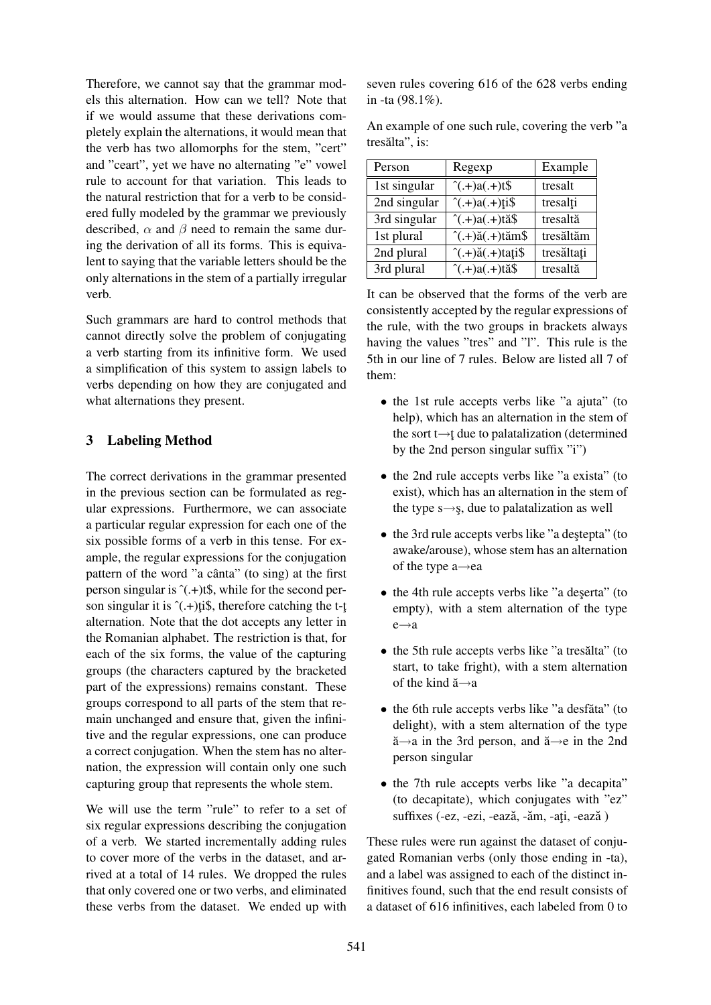Therefore, we cannot say that the grammar models this alternation. How can we tell? Note that if we would assume that these derivations completely explain the alternations, it would mean that the verb has two allomorphs for the stem, "cert" and "ceart", yet we have no alternating "e" vowel rule to account for that variation. This leads to the natural restriction that for a verb to be considered fully modeled by the grammar we previously described,  $\alpha$  and  $\beta$  need to remain the same during the derivation of all its forms. This is equivalent to saying that the variable letters should be the only alternations in the stem of a partially irregular verb.

Such grammars are hard to control methods that cannot directly solve the problem of conjugating a verb starting from its infinitive form. We used a simplification of this system to assign labels to verbs depending on how they are conjugated and what alternations they present.

# 3 Labeling Method

The correct derivations in the grammar presented in the previous section can be formulated as regular expressions. Furthermore, we can associate a particular regular expression for each one of the six possible forms of a verb in this tense. For example, the regular expressions for the conjugation pattern of the word "a cânta" (to sing) at the first person singular is  $^{\circ}$ (.+)t\$, while for the second person singular it is  $^{\circ}$ (.+)ti\$, therefore catching the t-t alternation. Note that the dot accepts any letter in the Romanian alphabet. The restriction is that, for each of the six forms, the value of the capturing groups (the characters captured by the bracketed part of the expressions) remains constant. These groups correspond to all parts of the stem that remain unchanged and ensure that, given the infinitive and the regular expressions, one can produce a correct conjugation. When the stem has no alternation, the expression will contain only one such capturing group that represents the whole stem.

We will use the term "rule" to refer to a set of six regular expressions describing the conjugation of a verb. We started incrementally adding rules to cover more of the verbs in the dataset, and arrived at a total of 14 rules. We dropped the rules that only covered one or two verbs, and eliminated these verbs from the dataset. We ended up with seven rules covering 616 of the 628 verbs ending in -ta (98.1%).

An example of one such rule, covering the verb "a tresălta", is:

| Person       | Regexp                                      | Example    |
|--------------|---------------------------------------------|------------|
| 1st singular | $^(+)a(+)t\$                                | tresalt    |
| 2nd singular | $\hat{(-)}$ .+ $)a(.+)$ ti\$                | tresalți   |
| 3rd singular | $\hat{}$ (.+)a(.+)tă\$                      | tresaltă   |
| 1st plural   | $^{\hat{ }}(.+)$ ă $(.+)$ tăm $\$$          | tresăltăm  |
| 2nd plural   | $^{\wedge}$ (.+) $\check{a}$ (.+)tați $\$\$ | tresăltați |
| 3rd plural   | $^{\hat{ }}(\vec{a}+\vec{a})$ tă\$          | tresaltă   |

It can be observed that the forms of the verb are consistently accepted by the regular expressions of the rule, with the two groups in brackets always having the values "tres" and "l". This rule is the 5th in our line of 7 rules. Below are listed all 7 of them:

- the 1st rule accepts verbs like "a ajuta" (to help), which has an alternation in the stem of the sort t $\rightarrow$ t due to palatalization (determined by the 2nd person singular suffix "i")
- the 2nd rule accepts verbs like "a exista" (to exist), which has an alternation in the stem of the type  $s \rightarrow s$ , due to palatalization as well
- the 3rd rule accepts verbs like "a destepta" (to awake/arouse), whose stem has an alternation of the type a→ea
- the 4th rule accepts verbs like "a deserta" (to empty), with a stem alternation of the type e→a
- the 5th rule accepts verbs like "a tresălta" (to start, to take fright), with a stem alternation of the kind  $\breve{a} \rightarrow a$
- the 6th rule accepts verbs like "a desfăta" (to delight), with a stem alternation of the type ă→a in the 3rd person, and ă→e in the 2nd person singular
- the 7th rule accepts verbs like "a decapita" (to decapitate), which conjugates with "ez" suffixes (-ez, -ezi, -ează, -ăm, -ați, -ează)

These rules were run against the dataset of conjugated Romanian verbs (only those ending in -ta), and a label was assigned to each of the distinct infinitives found, such that the end result consists of a dataset of 616 infinitives, each labeled from 0 to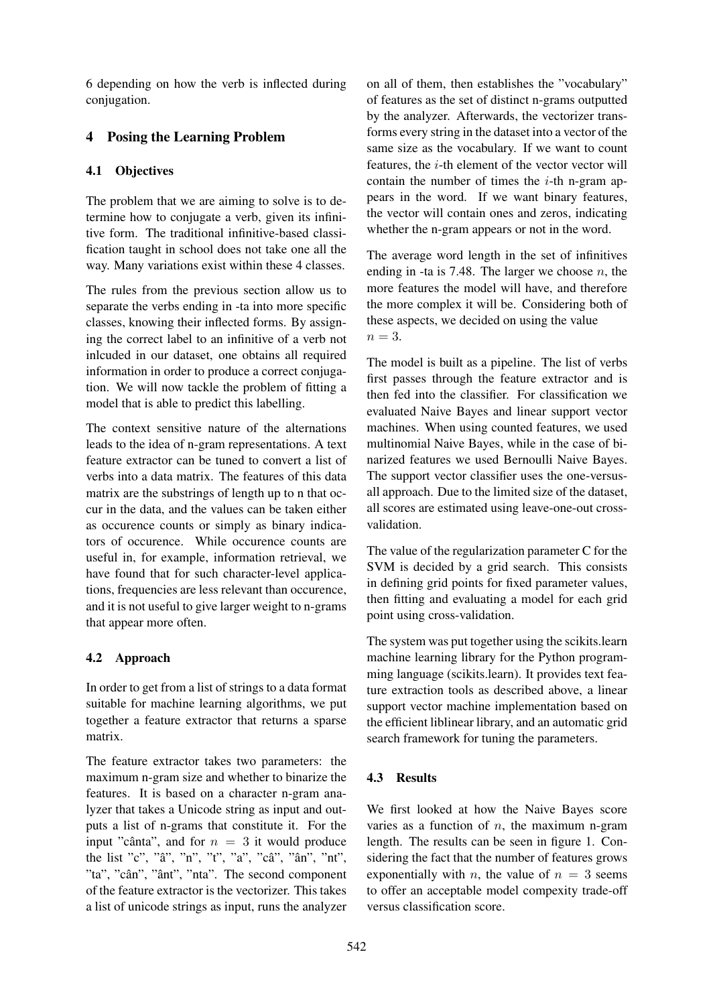6 depending on how the verb is inflected during conjugation.

# 4 Posing the Learning Problem

### 4.1 Objectives

The problem that we are aiming to solve is to determine how to conjugate a verb, given its infinitive form. The traditional infinitive-based classification taught in school does not take one all the way. Many variations exist within these 4 classes.

The rules from the previous section allow us to separate the verbs ending in -ta into more specific classes, knowing their inflected forms. By assigning the correct label to an infinitive of a verb not inlcuded in our dataset, one obtains all required information in order to produce a correct conjugation. We will now tackle the problem of fitting a model that is able to predict this labelling.

The context sensitive nature of the alternations leads to the idea of n-gram representations. A text feature extractor can be tuned to convert a list of verbs into a data matrix. The features of this data matrix are the substrings of length up to n that occur in the data, and the values can be taken either as occurence counts or simply as binary indicators of occurence. While occurence counts are useful in, for example, information retrieval, we have found that for such character-level applications, frequencies are less relevant than occurence, and it is not useful to give larger weight to n-grams that appear more often.

### 4.2 Approach

In order to get from a list of strings to a data format suitable for machine learning algorithms, we put together a feature extractor that returns a sparse matrix.

The feature extractor takes two parameters: the maximum n-gram size and whether to binarize the features. It is based on a character n-gram analyzer that takes a Unicode string as input and outputs a list of n-grams that constitute it. For the input "cânta", and for  $n = 3$  it would produce the list "c", "â", "n", "t", "a", "câ", "ân", "nt", "ta", "cân", "ânt", "nta". The second component of the feature extractor is the vectorizer. This takes a list of unicode strings as input, runs the analyzer

on all of them, then establishes the "vocabulary" of features as the set of distinct n-grams outputted by the analyzer. Afterwards, the vectorizer transforms every string in the dataset into a vector of the same size as the vocabulary. If we want to count features, the i-th element of the vector vector will contain the number of times the  $i$ -th n-gram appears in the word. If we want binary features, the vector will contain ones and zeros, indicating whether the n-gram appears or not in the word.

The average word length in the set of infinitives ending in -ta is 7.48. The larger we choose  $n$ , the more features the model will have, and therefore the more complex it will be. Considering both of these aspects, we decided on using the value  $n = 3$ .

The model is built as a pipeline. The list of verbs first passes through the feature extractor and is then fed into the classifier. For classification we evaluated Naive Bayes and linear support vector machines. When using counted features, we used multinomial Naive Bayes, while in the case of binarized features we used Bernoulli Naive Bayes. The support vector classifier uses the one-versusall approach. Due to the limited size of the dataset, all scores are estimated using leave-one-out crossvalidation.

The value of the regularization parameter C for the SVM is decided by a grid search. This consists in defining grid points for fixed parameter values, then fitting and evaluating a model for each grid point using cross-validation.

The system was put together using the scikits.learn machine learning library for the Python programming language (scikits.learn). It provides text feature extraction tools as described above, a linear support vector machine implementation based on the efficient liblinear library, and an automatic grid search framework for tuning the parameters.

# 4.3 Results

We first looked at how the Naive Bayes score varies as a function of  $n$ , the maximum n-gram length. The results can be seen in figure 1. Considering the fact that the number of features grows exponentially with *n*, the value of  $n = 3$  seems to offer an acceptable model compexity trade-off versus classification score.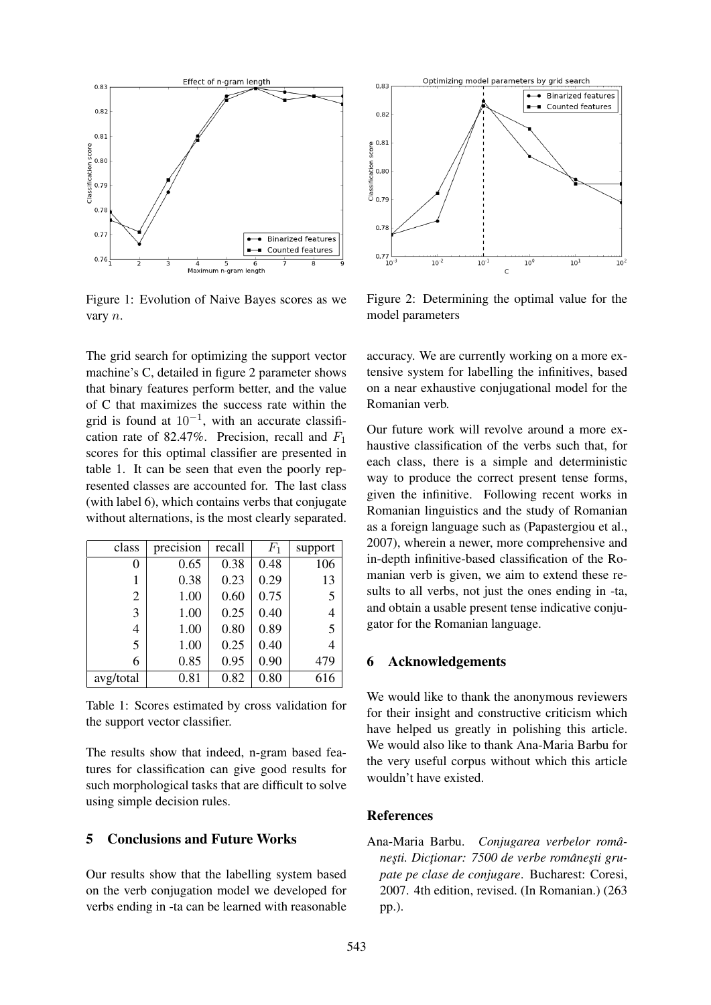

Figure 1: Evolution of Naive Bayes scores as we vary n.

The grid search for optimizing the support vector machine's C, detailed in figure 2 parameter shows that binary features perform better, and the value of C that maximizes the success rate within the grid is found at  $10^{-1}$ , with an accurate classification rate of 82.47%. Precision, recall and  $F_1$ scores for this optimal classifier are presented in table 1. It can be seen that even the poorly represented classes are accounted for. The last class (with label 6), which contains verbs that conjugate without alternations, is the most clearly separated.

| class          | precision | recall | $F_1$ | support        |
|----------------|-----------|--------|-------|----------------|
| 0              | 0.65      | 0.38   | 0.48  | 106            |
| 1              | 0.38      | 0.23   | 0.29  | 13             |
| $\overline{2}$ | 1.00      | 0.60   | 0.75  | 5              |
| 3              | 1.00      | 0.25   | 0.40  | $\overline{4}$ |
| 4              | 1.00      | 0.80   | 0.89  | $\overline{5}$ |
| 5              | 1.00      | 0.25   | 0.40  | 4              |
| 6              | 0.85      | 0.95   | 0.90  | 479            |
| avg/total      | 0.81      | 0.82   | 0.80  | 616            |

Table 1: Scores estimated by cross validation for the support vector classifier.

The results show that indeed, n-gram based features for classification can give good results for such morphological tasks that are difficult to solve using simple decision rules.

#### 5 Conclusions and Future Works

Our results show that the labelling system based on the verb conjugation model we developed for verbs ending in -ta can be learned with reasonable



Figure 2: Determining the optimal value for the model parameters

accuracy. We are currently working on a more extensive system for labelling the infinitives, based on a near exhaustive conjugational model for the Romanian verb.

Our future work will revolve around a more exhaustive classification of the verbs such that, for each class, there is a simple and deterministic way to produce the correct present tense forms, given the infinitive. Following recent works in Romanian linguistics and the study of Romanian as a foreign language such as (Papastergiou et al., 2007), wherein a newer, more comprehensive and in-depth infinitive-based classification of the Romanian verb is given, we aim to extend these results to all verbs, not just the ones ending in -ta, and obtain a usable present tense indicative conjugator for the Romanian language.

#### 6 Acknowledgements

We would like to thank the anonymous reviewers for their insight and constructive criticism which have helped us greatly in polishing this article. We would also like to thank Ana-Maria Barbu for the very useful corpus without which this article wouldn't have existed.

#### References

Ana-Maria Barbu. *Conjugarea verbelor românes¸ti. Dict¸ionar: 7500 de verbe romanes¸ti gru- ˆ pate pe clase de conjugare*. Bucharest: Coresi, 2007. 4th edition, revised. (In Romanian.) (263 pp.).